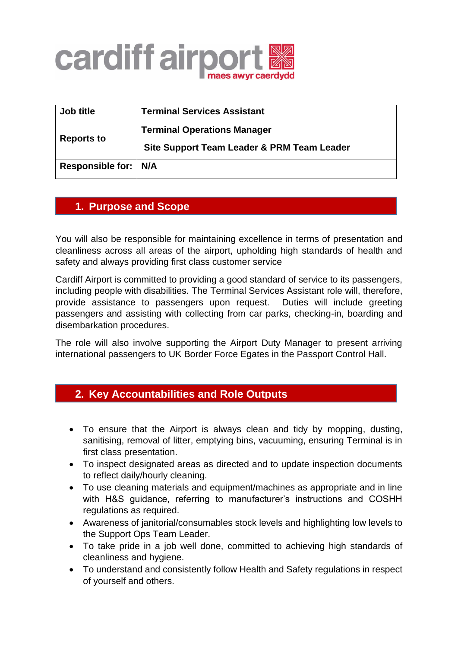

| Job title            | <b>Terminal Services Assistant</b>                                               |
|----------------------|----------------------------------------------------------------------------------|
| <b>Reports to</b>    | <b>Terminal Operations Manager</b><br>Site Support Team Leader & PRM Team Leader |
| Responsible for: N/A |                                                                                  |

## **1. Purpose and Scope**

You will also be responsible for maintaining excellence in terms of presentation and cleanliness across all areas of the airport, upholding high standards of health and safety and always providing first class customer service

Cardiff Airport is committed to providing a good standard of service to its passengers, including people with disabilities. The Terminal Services Assistant role will, therefore, provide assistance to passengers upon request. Duties will include greeting passengers and assisting with collecting from car parks, checking-in, boarding and disembarkation procedures.

The role will also involve supporting the Airport Duty Manager to present arriving international passengers to UK Border Force Egates in the Passport Control Hall.

## **2. Key Accountabilities and Role Outputs**

- To ensure that the Airport is always clean and tidy by mopping, dusting, sanitising, removal of litter, emptying bins, vacuuming, ensuring Terminal is in first class presentation.
- To inspect designated areas as directed and to update inspection documents to reflect daily/hourly cleaning.
- To use cleaning materials and equipment/machines as appropriate and in line with H&S guidance, referring to manufacturer's instructions and COSHH regulations as required.
- Awareness of janitorial/consumables stock levels and highlighting low levels to the Support Ops Team Leader.
- To take pride in a job well done, committed to achieving high standards of cleanliness and hygiene.
- To understand and consistently follow Health and Safety regulations in respect of yourself and others.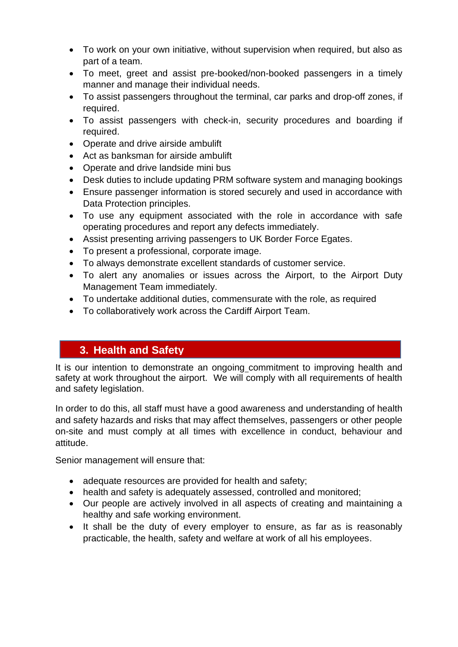- To work on your own initiative, without supervision when required, but also as part of a team.
- To meet, greet and assist pre-booked/non-booked passengers in a timely manner and manage their individual needs.
- To assist passengers throughout the terminal, car parks and drop-off zones, if required.
- To assist passengers with check-in, security procedures and boarding if required.
- Operate and drive airside ambulift
- Act as banksman for airside ambulift
- Operate and drive landside mini bus
- Desk duties to include updating PRM software system and managing bookings
- Ensure passenger information is stored securely and used in accordance with Data Protection principles.
- To use any equipment associated with the role in accordance with safe operating procedures and report any defects immediately.
- Assist presenting arriving passengers to UK Border Force Egates.
- To present a professional, corporate image.
- To always demonstrate excellent standards of customer service.
- To alert any anomalies or issues across the Airport, to the Airport Duty Management Team immediately.
- To undertake additional duties, commensurate with the role, as required
- To collaboratively work across the Cardiff Airport Team.

## **3. Health and Safety**

It is our intention to demonstrate an ongoing commitment to improving health and safety at work throughout the airport. We will comply with all requirements of health and safety legislation.

In order to do this, all staff must have a good awareness and understanding of health and safety hazards and risks that may affect themselves, passengers or other people on-site and must comply at all times with excellence in conduct, behaviour and attitude.

Senior management will ensure that:

- adequate resources are provided for health and safety;
- health and safety is adequately assessed, controlled and monitored;
- Our people are actively involved in all aspects of creating and maintaining a healthy and safe working environment.
- It shall be the duty of every employer to ensure, as far as is reasonably practicable, the health, safety and welfare at work of all his employees.